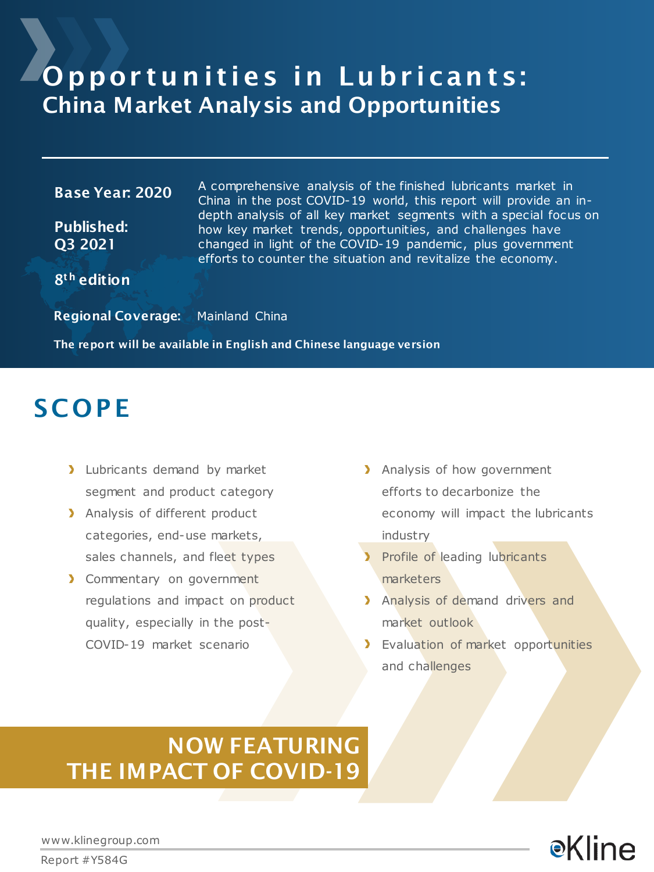### Opportunities in Lubricants: China Market Analysis and Opportunities

#### Base Year: 2020

Published: Q3 2021

A comprehensive analysis of the finished lubricants market in China in the post COVID-19 world, this report will provide an indepth analysis of all key market segments with a special focus on how key market trends, opportunities, and challenges have changed in light of the COVID-19 pandemic, plus government efforts to counter the situation and revitalize the economy.

8<sup>th</sup> edition

Regional Coverage: Mainland China

The report will be available in English and Chinese language version

### **SCOPE**

- > Lubricants demand by market segment and product category
- > Analysis of different product categories, end-use markets, sales channels, and fleet types
- > Commentary on government regulations and impact on product quality, especially in the post-COVID-19 market scenario
- > Analysis of how government efforts to decarbonize the economy will impact the lubricants industry
- Profile of leading lubricants marketers
- > Analysis of demand drivers and market outlook
- > Evaluation of market opportunities and challenges

### NOW FEATURING THE IMPACT OF COVID-19

**e**Kline

www.klinegroup.com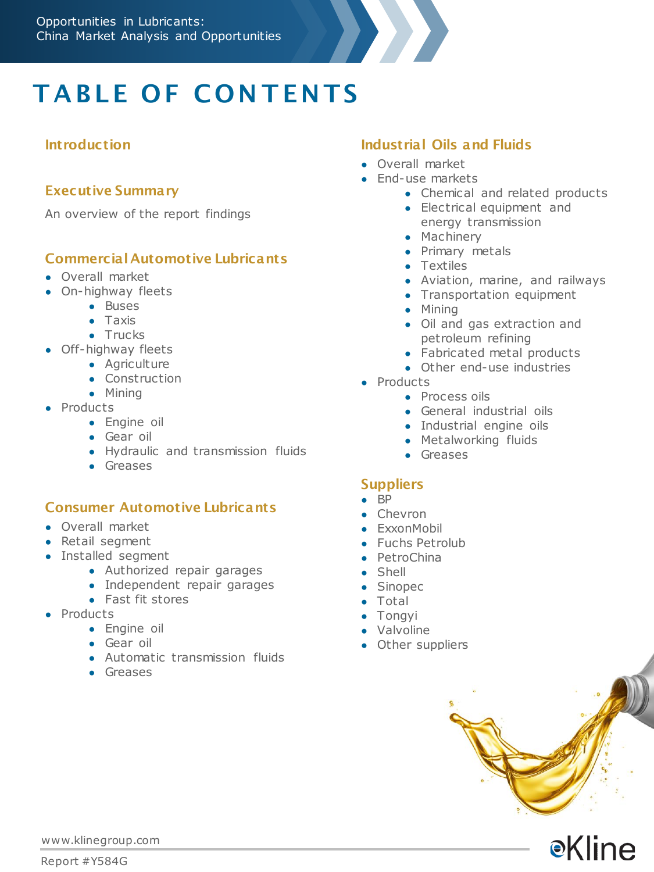

# **TABLE OF CONTENTS**

#### **Introduction**

#### Executive Summary

An overview of the report findings

#### Commercial Automotive Lubricants

- Overall market
- On-highway fleets
	- Buses
	- Taxis
	- Trucks
- Off-highway fleets
	- Agriculture
	- Construction
	- Mining
- Products
	- Engine oil
	- Gear oil
	- Hydraulic and transmission fluids
	- Greases

#### Consumer Automotive Lubricants

- Overall market
- Retail segment
- Installed segment
	- Authorized repair garages
	- Independent repair garages
	- Fast fit stores
- Products
	- Engine oil
	- Gear oil
	- Automatic transmission fluids
	- Greases

#### Industrial Oils and Fluids

- Overall market
- End-use markets
	- Chemical and related products
	- Electrical equipment and energy transmission
	- Machinery
	- Primary metals
	- Textiles
	- Aviation, marine, and railways
	- Transportation equipment
	- Mining
	- Oil and gas extraction and petroleum refining
	- Fabricated metal products
	- Other end-use industries
- Products
	- Process oils
	- General industrial oils
	- Industrial engine oils
	- Metalworking fluids
	- Greases

#### **Suppliers**

- BP
- Chevron
- **•** ExxonMobil
- Fuchs Petrolub
- PetroChina
- Shell
- Sinopec
- Total
- Tongyi
- Valvoline
- Other suppliers



**e**Kline